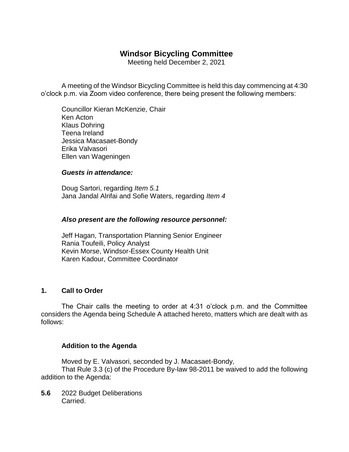# **Windsor Bicycling Committee**

Meeting held December 2, 2021

A meeting of the Windsor Bicycling Committee is held this day commencing at 4:30 o'clock p.m. via Zoom video conference, there being present the following members:

Councillor Kieran McKenzie, Chair Ken Acton Klaus Dohring Teena Ireland Jessica Macasaet-Bondy Erika Valvasori Ellen van Wageningen

#### *Guests in attendance:*

Doug Sartori, regarding *Item 5.1* Jana Jandal Alrifai and Sofie Waters, regarding *Item 4*

#### *Also present are the following resource personnel:*

Jeff Hagan, Transportation Planning Senior Engineer Rania Toufeili, Policy Analyst Kevin Morse, Windsor-Essex County Health Unit Karen Kadour, Committee Coordinator

#### **1. Call to Order**

The Chair calls the meeting to order at 4:31 o'clock p.m. and the Committee considers the Agenda being Schedule A attached hereto, matters which are dealt with as follows:

#### **Addition to the Agenda**

Moved by E. Valvasori, seconded by J. Macasaet-Bondy, That Rule 3.3 (c) of the Procedure By-law 98-2011 be waived to add the following addition to the Agenda:

**5.6** 2022 Budget Deliberations Carried.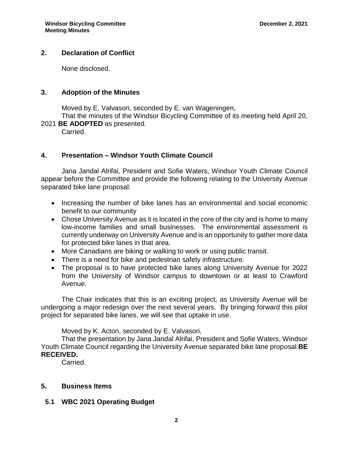#### **2. Declaration of Conflict**

None disclosed.

#### **3. Adoption of the Minutes**

Moved by E. Valvasori, seconded by E. van Wageningen,

That the minutes of the Windsor Bicycling Committee of its meeting held April 20, 2021 **BE ADOPTED** as presented.

Carried.

#### **4. Presentation – Windsor Youth Climate Council**

Jana Jandal Alrifai, President and Sofie Waters, Windsor Youth Climate Council appear before the Committee and provide the following relating to the University Avenue separated bike lane proposal:

- Increasing the number of bike lanes has an environmental and social economic benefit to our community
- Chose University Avenue as it is located in the core of the city and is home to many low-income families and small businesses. The environmental assessment is currently underway on University Avenue and is an opportunity to gather more data for protected bike lanes in that area.
- More Canadians are biking or walking to work or using public transit.
- There is a need for bike and pedestrian safety infrastructure.
- The proposal is to have protected bike lanes along University Avenue for 2022 from the University of Windsor campus to downtown or at least to Crawford Avenue.

The Chair indicates that this is an exciting project, as University Avenue will be undergoing a major redesign over the next several years. By bringing forward this pilot project for separated bike lanes, we will see that uptake in use.

Moved by K. Acton, seconded by E. Valvasori,

That the presentation by Jana Jandal Alrifai, President and Sofie Waters, Windsor Youth Climate Council regarding the University Avenue separated bike lane proposal **BE RECEIVED.**

Carried.

#### **5. Business Items**

#### **5.1 WBC 2021 Operating Budget**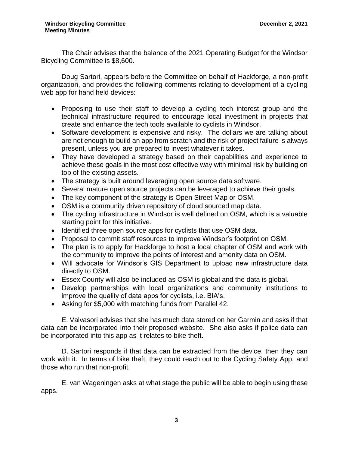The Chair advises that the balance of the 2021 Operating Budget for the Windsor Bicycling Committee is \$8,600.

Doug Sartori, appears before the Committee on behalf of Hackforge, a non-profit organization, and provides the following comments relating to development of a cycling web app for hand held devices:

- Proposing to use their staff to develop a cycling tech interest group and the technical infrastructure required to encourage local investment in projects that create and enhance the tech tools available to cyclists in Windsor.
- Software development is expensive and risky. The dollars we are talking about are not enough to build an app from scratch and the risk of project failure is always present, unless you are prepared to invest whatever it takes.
- They have developed a strategy based on their capabilities and experience to achieve these goals in the most cost effective way with minimal risk by building on top of the existing assets.
- The strategy is built around leveraging open source data software.
- Several mature open source projects can be leveraged to achieve their goals.
- The key component of the strategy is Open Street Map or OSM.
- OSM is a community driven repository of cloud sourced map data.
- The cycling infrastructure in Windsor is well defined on OSM, which is a valuable starting point for this initiative.
- Identified three open source apps for cyclists that use OSM data.
- Proposal to commit staff resources to improve Windsor's footprint on OSM.
- The plan is to apply for Hackforge to host a local chapter of OSM and work with the community to improve the points of interest and amenity data on OSM.
- Will advocate for Windsor's GIS Department to upload new infrastructure data directly to OSM.
- Essex County will also be included as OSM is global and the data is global.
- Develop partnerships with local organizations and community institutions to improve the quality of data apps for cyclists, i.e. BIA's.
- Asking for \$5,000 with matching funds from Parallel 42.

E. Valvasori advises that she has much data stored on her Garmin and asks if that data can be incorporated into their proposed website. She also asks if police data can be incorporated into this app as it relates to bike theft.

D. Sartori responds if that data can be extracted from the device, then they can work with it. In terms of bike theft, they could reach out to the Cycling Safety App, and those who run that non-profit.

E. van Wageningen asks at what stage the public will be able to begin using these apps.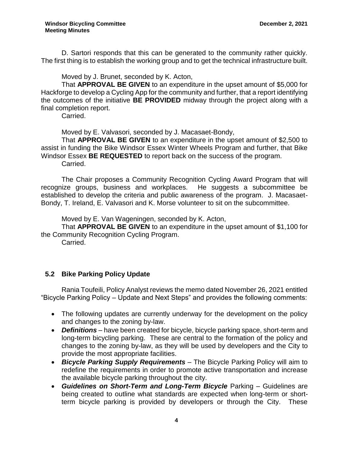D. Sartori responds that this can be generated to the community rather quickly. The first thing is to establish the working group and to get the technical infrastructure built.

Moved by J. Brunet, seconded by K. Acton,

That **APPROVAL BE GIVEN** to an expenditure in the upset amount of \$5,000 for Hackforge to develop a Cycling App for the community and further, that a report identifying the outcomes of the initiative **BE PROVIDED** midway through the project along with a final completion report.

Carried.

Moved by E. Valvasori, seconded by J. Macasaet-Bondy,

That **APPROVAL BE GIVEN** to an expenditure in the upset amount of \$2,500 to assist in funding the Bike Windsor Essex Winter Wheels Program and further, that Bike Windsor Essex **BE REQUESTED** to report back on the success of the program. Carried.

The Chair proposes a Community Recognition Cycling Award Program that will recognize groups, business and workplaces. He suggests a subcommittee be established to develop the criteria and public awareness of the program. J. Macasaet-Bondy, T. Ireland, E. Valvasori and K. Morse volunteer to sit on the subcommittee.

Moved by E. Van Wageningen, seconded by K. Acton,

That **APPROVAL BE GIVEN** to an expenditure in the upset amount of \$1,100 for the Community Recognition Cycling Program.

Carried.

## **5.2 Bike Parking Policy Update**

Rania Toufeili, Policy Analyst reviews the memo dated November 26, 2021 entitled "Bicycle Parking Policy – Update and Next Steps" and provides the following comments:

- The following updates are currently underway for the development on the policy and changes to the zoning by-law.
- *Definitions*  have been created for bicycle, bicycle parking space, short-term and long-term bicycling parking. These are central to the formation of the policy and changes to the zoning by-law, as they will be used by developers and the City to provide the most appropriate facilities.
- *Bicycle Parking Supply Requirements* The Bicycle Parking Policy will aim to redefine the requirements in order to promote active transportation and increase the available bicycle parking throughout the city.
- *Guidelines on Short-Term and Long-Term Bicycle* Parking Guidelines are being created to outline what standards are expected when long-term or shortterm bicycle parking is provided by developers or through the City. These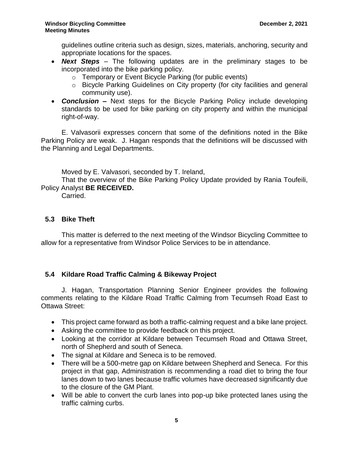guidelines outline criteria such as design, sizes, materials, anchoring, security and appropriate locations for the spaces.

- *Next Steps* The following updates are in the preliminary stages to be incorporated into the bike parking policy.
	- o Temporary or Event Bicycle Parking (for public events)
	- o Bicycle Parking Guidelines on City property (for city facilities and general community use).
- *Conclusion* **–** Next steps for the Bicycle Parking Policy include developing standards to be used for bike parking on city property and within the municipal right-of-way.

E. Valvasorii expresses concern that some of the definitions noted in the Bike Parking Policy are weak. J. Hagan responds that the definitions will be discussed with the Planning and Legal Departments.

Moved by E. Valvasori, seconded by T. Ireland,

That the overview of the Bike Parking Policy Update provided by Rania Toufeili, Policy Analyst **BE RECEIVED.**

Carried.

### **5.3 Bike Theft**

This matter is deferred to the next meeting of the Windsor Bicycling Committee to allow for a representative from Windsor Police Services to be in attendance.

## **5.4 Kildare Road Traffic Calming & Bikeway Project**

J. Hagan, Transportation Planning Senior Engineer provides the following comments relating to the Kildare Road Traffic Calming from Tecumseh Road East to Ottawa Street:

- This project came forward as both a traffic-calming request and a bike lane project.
- Asking the committee to provide feedback on this project.
- Looking at the corridor at Kildare between Tecumseh Road and Ottawa Street, north of Shepherd and south of Seneca.
- The signal at Kildare and Seneca is to be removed.
- There will be a 500-metre gap on Kildare between Shepherd and Seneca. For this project in that gap, Administration is recommending a road diet to bring the four lanes down to two lanes because traffic volumes have decreased significantly due to the closure of the GM Plant.
- Will be able to convert the curb lanes into pop-up bike protected lanes using the traffic calming curbs.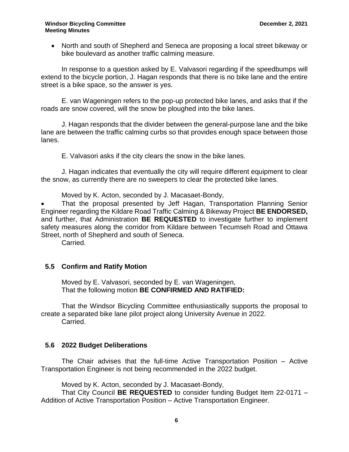#### **Windsor Bicycling Committee December 2, 2021 Meeting Minutes**

 North and south of Shepherd and Seneca are proposing a local street bikeway or bike boulevard as another traffic calming measure.

In response to a question asked by E. Valvasori regarding if the speedbumps will extend to the bicycle portion, J. Hagan responds that there is no bike lane and the entire street is a bike space, so the answer is yes.

E. van Wageningen refers to the pop-up protected bike lanes, and asks that if the roads are snow covered, will the snow be ploughed into the bike lanes.

J. Hagan responds that the divider between the general-purpose lane and the bike lane are between the traffic calming curbs so that provides enough space between those lanes.

E. Valvasori asks if the city clears the snow in the bike lanes.

J. Hagan indicates that eventually the city will require different equipment to clear the snow, as currently there are no sweepers to clear the protected bike lanes.

Moved by K. Acton, seconded by J. Macasaet-Bondy,

 That the proposal presented by Jeff Hagan, Transportation Planning Senior Engineer regarding the Kildare Road Traffic Calming & Bikeway Project **BE ENDORSED,** and further, that Administration **BE REQUESTED** to investigate further to implement safety measures along the corridor from Kildare between Tecumseh Road and Ottawa Street, north of Shepherd and south of Seneca.

Carried.

#### **5.5 Confirm and Ratify Motion**

Moved by E. Valvasori, seconded by E. van Wageningen, That the following motion **BE CONFIRMED AND RATIFIED:**

That the Windsor Bicycling Committee enthusiastically supports the proposal to create a separated bike lane pilot project along University Avenue in 2022. Carried.

#### **5.6 2022 Budget Deliberations**

The Chair advises that the full-time Active Transportation Position – Active Transportation Engineer is not being recommended in the 2022 budget.

Moved by K. Acton, seconded by J. Macasaet-Bondy,

That City Council **BE REQUESTED** to consider funding Budget Item 22-0171 – Addition of Active Transportation Position – Active Transportation Engineer.